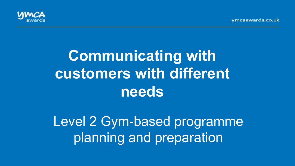vmcaawards.co.uk



# **Communicating with customers with different needs**

Level 2 Gym-based programme planning and preparation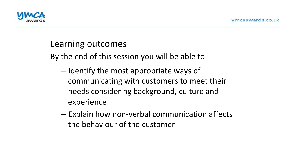

#### Learning outcomes

By the end of this session you will be able to:

- $-$  Identify the most appropriate ways of communicating with customers to meet their needs considering background, culture and experience
- $-$  Explain how non-verbal communication affects the behaviour of the customer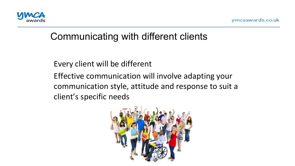

#### Every client will be different

Effective communication will involve adapting your communication style, attitude and response to suit a client's specific needs

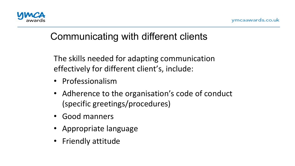

The skills needed for adapting communication effectively for different client's, include:

- Professionalism
- Adherence to the organisation's code of conduct (specific greetings/procedures)
- Good manners
- Appropriate language
- Friendly attitude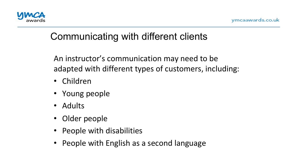

An instructor's communication may need to be adapted with different types of customers, including:

- Children
- Young people
- Adults
- Older people
- People with disabilities
- People with English as a second language